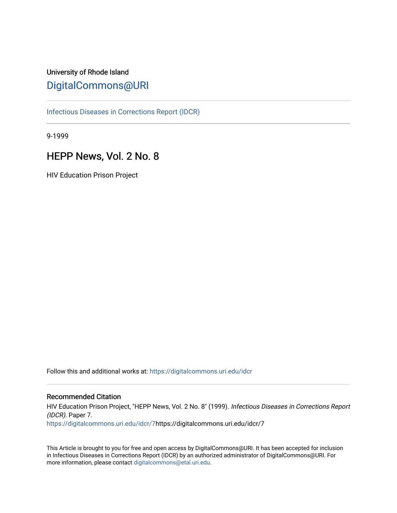## University of Rhode Island [DigitalCommons@URI](https://digitalcommons.uri.edu/)

[Infectious Diseases in Corrections Report \(IDCR\)](https://digitalcommons.uri.edu/idcr)

9-1999

## HEPP News, Vol. 2 No. 8

HIV Education Prison Project

Follow this and additional works at: [https://digitalcommons.uri.edu/idcr](https://digitalcommons.uri.edu/idcr?utm_source=digitalcommons.uri.edu%2Fidcr%2F7&utm_medium=PDF&utm_campaign=PDFCoverPages)

#### Recommended Citation

HIV Education Prison Project, "HEPP News, Vol. 2 No. 8" (1999). Infectious Diseases in Corrections Report (IDCR). Paper 7. [https://digitalcommons.uri.edu/idcr/7](https://digitalcommons.uri.edu/idcr/7?utm_source=digitalcommons.uri.edu%2Fidcr%2F7&utm_medium=PDF&utm_campaign=PDFCoverPages)https://digitalcommons.uri.edu/idcr/7

This Article is brought to you for free and open access by DigitalCommons@URI. It has been accepted for inclusion in Infectious Diseases in Corrections Report (IDCR) by an authorized administrator of DigitalCommons@URI. For more information, please contact [digitalcommons@etal.uri.edu.](mailto:digitalcommons@etal.uri.edu)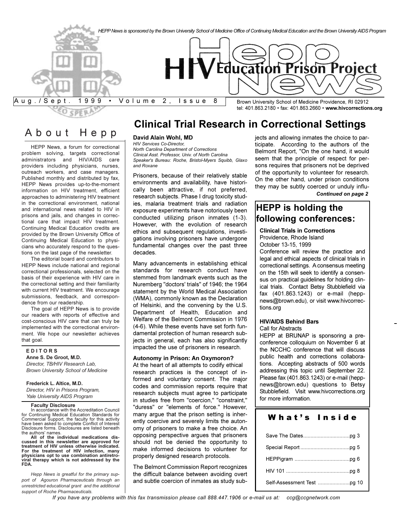

## About Hepp

HEPP News, a forum for correctional problem solving, targets correctional administrators and HIV/AIDS care providers including physicians, nurses, outreach workers, and case managers. Published monthly and distributed by fax, HEPP News provides up-to-the-moment information on HIV treatment, efficient approaches to administering HIV treatment in the correctional environment, national and international news related to HIV in prisons and jails, and changes in correctional care that impact HIV treatment. Continuing Medical Education credits are provided by the Brown University Office of Continuing Medical Education to physicians who accurately respond to the questions on the last page of the newsletter.

The editorial board and contributors to HEPP News include national and regional correctional professionals, selected on the basis of their experience with HIV care in the correctional setting and their familiarity with current HIV treatment. We encourage submissions, feedback, and correspondence from our readership.

The goal of HEPP News is to provide our readers with reports of effective and cost-conscious HIV care that can truly be implemented with the correctional environment. We hope our newsletter achieves that goal.

#### **E D I T O R S Anne S. De Groot, M.D.** *Director, TB/HIV Research Lab, Brown University School of Medicine*

#### **Frederick L. Altice, M.D.**

*Director, HIV in Prisons Program, Yale University AIDS Program*

#### **Faculty Disclosure**

In accordance with the Accreditation Council for Continuing Medical Education Standards for Commercial Support, the faculty for this activity have been asked to complete Conflict of Interest Disclosure forms. Disclosures are listed beneath the authors' names.

**All of the individual medications discussed in this newsletter are approved for treatment of HIV unless otherwise indicated. For the treatment of HIV infection, many physicians opt to use combination antiretroviral therapy which is not addressed by the FDA.**

*Hepp News is greatful for the primary support of Agouron Pharmaceuticals through an unrestricted educational grant and the additional support of Roche Pharmaceuticals.*

## **Clinical Trial Research in Correctional Settings**

#### **David Alain Wohl, MD**

*HIV Services Co-Director, North Carolina Department of Corrections Clinical Asst. Professor, Univ. of North Carolina Speaker's Bureau: Roche, Bristol-Myers Squibb, Glaxo and Roxane*

Prisoners, because of their relatively stable environments and availability, have historically been attractive, if not preferred, research subjects. Phase I drug toxicity studies, malaria treatment trials and radiation exposure experiments have notoriously been conducted utilizing prison inmates (1-3). However, with the evolution of research ethics and subsequent regulations, investigations involving prisoners have undergone fundamental changes over the past three decades.

Many advancements in establishing ethical standards for research conduct have stemmed from landmark events such as the Nuremberg "doctors' trials" of 1946; the 1964 statement by the World Medical Association (WMA), commonly known as the Declaration of Helsinki, and the convening by the U.S. Department of Health, Education and Welfare of the Belmont Commission in 1976 (4-6). While these events have set forth fundamental protection of human research subjects in general, each has also significantly impacted the use of prisoners in research.

#### **Autonomy in Prison: An Oxymoron?**

At the heart of all attempts to codify ethical research practices is the concept of informed and voluntary consent. The major codes and commission reports require that research subjects must agree to participate in studies free from "coercion," "constraint," "duress" or "elements of force." However, many argue that the prison setting is inherently coercive and severely limits the autonomy of prisoners to make a free choice. An opposing perspective argues that prisoners should not be denied the opportunity to make informed decisions to volunteer for properly designed research protocols.

The Belmont Commission Report recognizes the difficult balance between avoiding overt and subtle coercion of inmates as study subjects and allowing inmates the choice to participate. According to the authors of the Belmont Report, "On the one hand, it would seem that the principle of respect for persons requires that prisoners not be deprived of the opportunity to volunteer for research. On the other hand, under prison conditions they may be subtly coerced or unduly influ-*Continued on page 2*

## **HEPP is holding the following conferences:**

#### **Clinical Trials in Corrections**

Providence, Rhode Island

October 13-15, 1999

Conference will review the practice and legal and ethical aspects of clinical trials in correctional settings. A consensus meeting on the 15th will seek to identify a consensus on practical guidelines for holding clinical trials. Contact Betsy Stubblefield via fax (401.863.1243) or e-mail (heppnews@brown.edu), or visit www.hivcorrections.org

#### **HIV/AIDS Behind Bars**

Call for Abstracts

HEPP at BRUNAP is sponsoring a preconference colloquium on November 6 at the NCCHC conference that will discuss public health and corrections collaborations. Accepting abstracts of 500 words addressing this topic until September 22. Please fax (401.863.1243) or e-mail (heppnews@brown.edu) questions to Betsy Stubblefield. Visit www.hivcorrections.org for more information.

#### What's Inside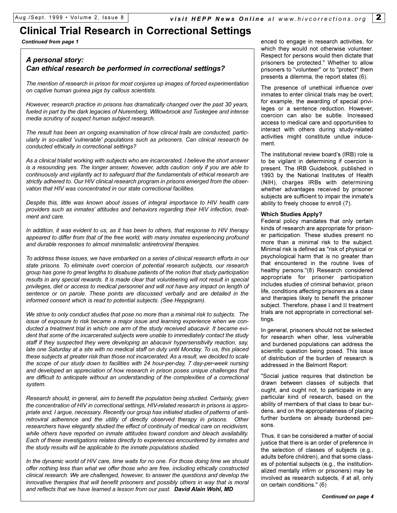## **Clinical Trial Research in Correctional Settings**

*Continued from page 1*

### *A personal story: Can ethical research be performed in correctional settings?*

*The mention of research in prison for most conjures up images of forced experimentation on captive human guinea pigs by callous scientists.* 

*However, research practice in prisons has dramatically changed over the past 30 years, fueled in part by the dark legacies of Nuremberg, Willowbrook and Tuskegee and intense media scrutiny of suspect human subject research.* 

*The result has been an ongoing examination of how clinical trails are conducted, particularly in so-called 'vulnerable' populations such as prisoners. Can clinical research be conducted ethically in correctional settings?* 

*As a clinical trialist working with subjects who are incarcerated, I believe the short answer is a resounding yes. The longer answer, however, adds caution: only if you are able to continuously and vigilantly act to safeguard that the fundamentals of ethical research are strictly adhered to. Our HIV clinical research program in prisons emerged from the observation that HIV was concentrated in our state correctional facilities.* 

*Despite this, little was known about issues of integral importance to HIV health care* providers such as inmates' attitudes and behaviors regarding their HIV infection, treat*ment and care.*

*In addition, it was evident to us, as it has been to others, that response to HIV therapy appeared to differ from that of the free world, with many inmates experiencing profound and durable responses to almost minimalistic antiretroviral therapies.*

*To address these issues, we have embarked on a series of clinical research efforts in our state prisons. To eliminate overt coercion of potential research subjects, our research group has gone to great lengths to disabuse patients of the notion that study participation results in any special rewards. It is made clear that volunteering will not result in special privileges, diet or access to medical personnel and will not have any impact on length of sentence or on parole. These points are discussed verbally and are detailed in the informed consent which is read to potential subjects. (See Heppigram).*

*We strive to only conduct studies that pose no more than a minimal risk to subjects. The issue of exposure to risk became a major issue and learning experience when we conducted a treatment trial in which one arm of the study received abacavir. It became evident that some of the incarcerated subjects were unable to immediately contact the study staff if they suspected they were developing an abacavir hypersensitivity reaction, say, late one Saturday at a site with no medical staff on duty until Monday. To us, this placed these subjects at greater risk than those not incarcerated. As a result, we decided to scale the scope of our study down to facilities with 24 hour-per-day, 7 day-per-week nursing and developed an appreciation of how research in prison poses unique challenges that are difficult to anticipate without an understanding of the complexities of a correctional system.*

*Research should, in general, aim to benefit the population being studied. Certainly, given the concentration of HIV in correctional settings, HIV-related research in prisons is appropriate and, I argue, necessary. Recently our group has initiated studies of patterns of antiretroviral adherence and the utility of directly observed therapy in prisons. Other researchers have elegantly studied the effect of continuity of medical care on recidivism, while others have reported on inmate attitudes toward condom and bleach availability. Each of these investigations relates directly to experiences encountered by inmates and the study results will be applicable to the inmate populations studied.* 

*In the dynamic world of HIV care, time waits for no one. For those doing time we should offer nothing less than what we offer those who are free, including ethically constructed clinical research. We are challenged, however, to answer the questions and develop the innovative therapies that will benefit prisoners and possibly others in way that is moral and reflects that we have learned a lesson from our past. David Alain Wohl, MD*

enced to engage in research activities, for which they would not otherwise volunteer. Respect for persons would then dictate that prisoners be protected." Whether to allow prisoners to "volunteer" or to "protect" them presents a dilemma, the report states (6).

The presence of unethical influence over inmates to enter clinical trials may be overt; for example, the awarding of special privileges or a sentence reduction. However, coercion can also be subtle. Increased access to medical care and opportunities to interact with others during study-related activities might constitute undue inducement.

The institutional review board's (IRB) role is to be vigilant in determining if coercion is present. The IRB Guidebook, published in 1993 by the National Institutes of Health (NIH), charges IRBs with determining whether advantages received by prisoner subjects are sufficient to impair the inmate's ability to freely choose to enroll (7).

#### **Which Studies Apply?**

Federal policy mandates that only certain kinds of research are appropriate for prisoner participation. These studies present no more than a minimal risk to the subject. Minimal risk is defined as "risk of physical or psychological harm that is no greater than that encountered in the routine lives of healthy persons."(8) Research considered appropriate for prisoner participation includes studies of criminal behavior, prison life, conditions affecting prisoners as a class and therapies likely to benefit the prisoner subject. Therefore, phase I and II treatment trials are not appropriate in correctional settings.

In general, prisoners should not be selected for research when other, less vulnerable and burdened populations can address the scientific question being posed. This issue of distribution of the burden of research is addressed in the Belmont Report:

"Social justice requires that distinction be drawn between classes of subjects that ought, and ought not, to participate in any particular kind of research, based on the ability of members of that class to bear burdens, and on the appropriateness of placing further burdens on already burdened persons.

Thus, it can be considered a matter of social justice that there is an order of preference in the selection of classes of subjects (e.g., adults before children), and that some classes of potential subjects (e.g., the institutionalized mentally infirm or prisoners) may be involved as research subjects, if at all, only on certain conditions." (6)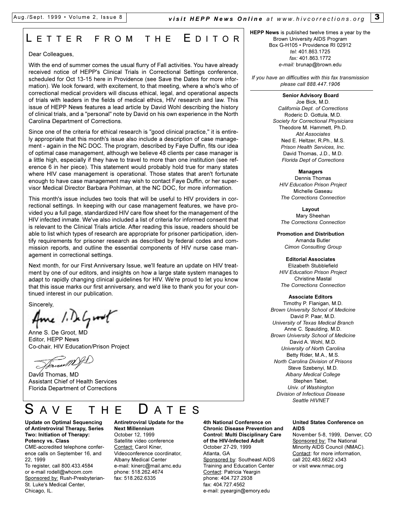## L ETTER FROM THE E DITOR

#### Dear Colleagues,

With the end of summer comes the usual flurry of Fall activities. You have already received notice of HEPP's Clinical Trials in Correctional Settings conference, scheduled for Oct 13-15 here in Providence (see Save the Dates for more information). We look forward, with excitement, to that meeting, where a who's who of correctional medical providers will discuss ethical, legal, and operational aspects of trials with leaders in the fields of medical ethics, HIV research and law. This issue of HEPP News features a lead article by David Wohl describing the history of clinical trials, and a "personal" note by David on his own experience in the North Carolina Department of Corrections.

Since one of the criteria for ethical research is "good clinical practice," it is entirely appropriate that this month's issue also include a description of case management - again in the NC DOC. The program, described by Faye Duffin, fits our idea of optimal case management, although we believe 48 clients per case manager is a little high, especially if they have to travel to more than one institution (see reference 6 in her piece). This statement would probably hold true for many states where HIV case management is operational. Those states that aren't fortunate enough to have case management may wish to contact Faye Duffin, or her supervisor Medical Director Barbara Pohlman, at the NC DOC, for more information.

This month's issue includes two tools that will be useful to HIV providers in correctional settings. In keeping with our case management features, we have provided you a full page, standardized HIV care flow sheet for the management of the HIV infected inmate. We've also included a list of criteria for informed consent that is relevant to the Clinical Trials article. After reading this issue, readers should be able to list which types of research are appropriate for prisoner participation, identify requirements for prisoner research as described by federal codes and commission reports, and outline the essential components of HIV nurse case management in correctional settings.

Next month, for our First Anniversary Issue, we'll feature an update on HIV treatment by one of our editors, and insights on how a large state system manages to adapt to rapidly changing clinical guidelines for HIV. We're proud to let you know that this issue marks our first anniversary, and we'd like to thank you for your continued interest in our publication.

Sincerely,

Ame 1. DeGroot

Anne S. De Groot, MD Editor, HEPP News Co-chair, HIV Education/Prison Project

David Thomas, MD Assistant Chief of Health Services Florida Department of Corrections

## AVE THE **U**ATES

**Update on Optimal Sequencing of Antiretroviral Therapy, Series Two: Initiation of Therapy: Potency vs. Class**

CME-accredited telephone conference calls on September 16, and 22, 1999

To register, call 800.433.4584 or e-mail rodell@whcom.com Sponsored by: Rush-Presbyterian-St. Luke's Medical Center, Chicago, IL.

#### **Antiretroviral Update for the Next Millennium** October 12, 1999 Satellite video conference Contact: Carol Kiner, Videoconference coordinator,

Albany Medical Center e-mail: kinerc@mail.amc.edu phone: 518.262.4674 fax: 518.262.6335

**4th National Conference on Chronic Disease Prevention and Control: Multi Disciplinary Care of the HIV-Infected Adult** October 27-29, 1999 Atlanta, GA Sponsored by: Southeast AIDS Training and Education Center Contact: Patricia Yeargin phone: 404.727.2938 fax: 404.727.4562 e-mail: pyeargin@emory.edu

**HEPP News** is published twelve times a year by the Brown University AIDS Program Box G-H105 · Providence RI 02912 *tel:* 401.863.1725 *fax:* 401.863.1772 *e-mail:* brunap@brown.edu

*If you have an difficulties with this fax transmission please call 888.447.1906*

#### **Senior Advisory Board**

Joe Bick, M.D. *California Dept. of Corrections* Roderic D. Gottula, M.D. *Society for Correctional Physicians* Theodore M. Hammett, Ph.D. *Abt Associates* Ned E. Heltzer, R.Ph., M.S. *Prison Health Services, Inc.* David Thomas, J.D., M.D. *Florida Dept of Corrections*

#### **Managers**

Dennis Thomas *HIV Education Prison Project* Michelle Gaseau *The Corrections Connection*

**Layout**  Mary Sheehan *The Corrections Connection*

**Promotion and Distribution** Amanda Butler *Cimon Consulting Group*

#### **Editorial Associates**

Elizabeth Stubblefield *HIV Education Prison Project* Christine Mastal *The Corrections Connection*

#### **Associate Editors**

Timothy P. Flanigan, M.D. *Brown University School of Medicine* David P. Paar, M.D. *University of Texas Medical Branch* Anne C. Spaulding, M.D. *Brown University School of Medicine* David A. Wohl, M.D. *University of North Carolina* Betty Rider, M.A., M.S. *North Carolina Division of Prisons* Steve Szebenyi, M.D. *Albany Medical College* Stephen Tabet, *Univ. of Washington Division of Infectious Disease Seattle HIVNET*

#### **United States Conference on AIDS**

November 5-8, 1999, Denver, CO Sponsored by: The National Minority AIDS Council (NMAC). Contact: for more information, call 202.483.6622 x343 or visit www.nmac.org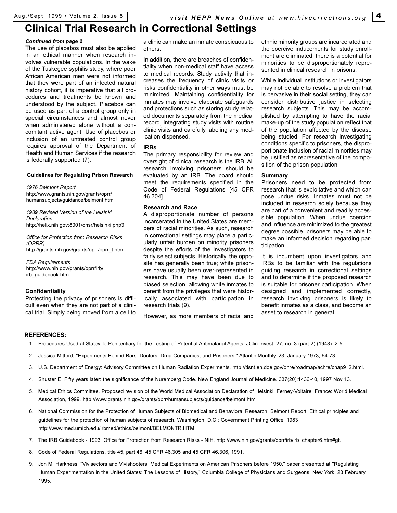## **Clinical Trial Research in Correctional Settings**

#### *Continued from page 2*

The use of placebos must also be applied in an ethical manner when research involves vulnerable populations. In the wake of the Tuskegee syphilis study, where poor African American men were not informed that they were part of an infected natural history cohort, it is imperative that all procedures and treatments be known and understood by the subject. Placebos can be used as part of a control group only in special circumstances and almost never when administered alone without a concomitant active agent. Use of placebos or inclusion of an untreated control group requires approval of the Department of Health and Human Services if the research is federally supported (7).

#### **Guidelines for Regulating Prison Research**

*1976 Belmont Report* http://www.grants.nih.gov/grants/oprr/ humansubjects/guidance/belmont.htm

*1989 Revised Version of the Helsinki Declaration* http://helix.nih.gov:8001/ohsr/helsinki.php3

*Office for Protection from Research Risks (OPRR)* http://grants.nih.gov/grants/oprr/oprr\_t.htm

*FDA Requirements* http://www.nih.gov/grants/oprr/irb/ irb\_guidebook.htm

#### **Confidentiality**

Protecting the privacy of prisoners is difficult even when they are not part of a clinical trial. Simply being moved from a cell to

a clinic can make an inmate conspicuous to others.

In addition, there are breaches of confidentiality when non-medical staff have access to medical records. Study activity that increases the frequency of clinic visits or risks confidentiality in other ways must be minimized. Maintaining confidentiality for inmates may involve elaborate safeguards and protections such as storing study related documents separately from the medical record, integrating study visits with routine clinic visits and carefully labeling any medication dispensed.

#### **IRBs**

The primary responsibility for review and oversight of clinical research is the IRB. All research involving prisoners should be evaluated by an IRB. The board should meet the requirements specified in the Code of Federal Regulations [45 CFR 46.304].

#### **Research and Race**

A disproportionate number of persons incarcerated in the United States are members of racial minorities. As such, research in correctional settings may place a particularly unfair burden on minority prisoners despite the efforts of the investigators to fairly select subjects. Historically, the opposite has generally been true; white prisoners have usually been over-represented in research. This may have been due to biased selection, allowing white inmates to benefit from the privileges that were historically associated with participation in research trials (9).

However, as more members of racial and

ethnic minority groups are incarcerated and the coercive inducements for study enrollment are eliminated, there is a potential for minorities to be disproportionately represented in clinical research in prisons.

While individual institutions or investigators may not be able to resolve a problem that is pervasive in their social setting, they can consider distributive justice in selecting research subjects. This may be accomplished by attempting to have the racial make-up of the study population reflect that of the population affected by the disease being studied. For research investigating conditions specific to prisoners, the disproportionate inclusion of racial minorities may be justified as representative of the composition of the prison population.

#### **Summary**

Prisoners need to be protected from research that is exploitative and which can pose undue risks. Inmates must not be included in research solely because they are part of a convenient and readily accessible population. When undue coercion and influence are minimized to the greatest degree possible, prisoners may be able to make an informed decision regarding participation.

It is incumbent upon investigators and IRBs to be familiar with the regulations guiding research in correctional settings and to determine if the proposed research is suitable for prisoner participation. When designed and implemented correctly, research involving prisoners is likely to benefit inmates as a class, and become an asset to research in general.

#### **REFERENCES:**

- 1. Procedures Used at Stateville Penitentiary for the Testing of Potential Antimalarial Agents. JClin Invest. 27, no. 3 (part 2) (1948): 2-5.
- 2. Jessica Mitford, "Experiments Behind Bars: Doctors, Drug Companies, and Prisoners," Atlantic Monthly. 23, January 1973, 64-73.
- 3. U.S. Department of Energy: Advisory Committee on Human Radiation Experiments, http://tisnt.eh.doe.gov/ohre/roadmap/achre/chap9\_2.html.
- 4. Shuster E. Fifty years later: the significance of the Nuremberg Code. New England Journal of Medicine. 337(20):1436-40, 1997 Nov 13.
- 5. Medical Ethics Committee. Proposed revision of the World Medical Association Declaration of Helsinki. Ferney-Voltaire, France: World Medical Association, 1999. http://www.grants.nih.gov/grants/oprr/humansubjects/guidance/belmont.htm
- 6. National Commission for the Protection of Human Subjects of Biomedical and Behavioral Research. Belmont Report: Ethical principles and guidelines for the protection of human subjects of research. Washington, D.C.: Government Printing Office, 1983 http://www.med.umich.edu/irbmed/ethics/belmont/BELMONTR.HTM.
- 7. The IRB Guidebook 1993. Office for Protection from Research Risks NIH, http://www.nih.gov/grants/oprr/irb/irb\_chapter6.htm#gt.
- 8. Code of Federal Regulations, title 45, part 46: 45 CFR 46.305 and 45 CFR 46.306, 1991.
- 9. Jon M. Harkness, "Vivisectors and Vivishooters: Medical Experiments on American Prisoners before 1950," paper presented at "Regulating Human Experimentation in the United States: The Lessons of History," Columbia College of Physicians and Surgeons, New York, 23 February 1995.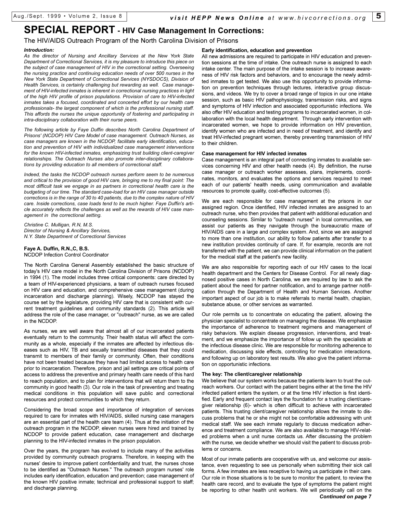## **SPECIAL REPORT - HIV Case Management In Corrections:**

#### The HIV/AIDS Outreach Program of the North Carolina Division of Prisons

#### *Introduction:*

*As the director of Nursing and Ancillary Services at the New York State Department of Correctional Services, it is my pleasure to introduce this piece on the subject of case management of HIV in the correctional setting. Overseeing the nursing practice and continuing education needs of over 500 nurses in the New York State Department of Correctional Services (NYSDOCS), Division of Health Services, is certainly challenging but rewarding as well. Case management of HIV-infected inmates is inherent in correctional nursing practices in light of the high HIV profile of prison populations. Provision of care to HIV-infected inmates takes a focused, coordinated and concerted effort by our health care professionals- the largest component of which is the professional nursing staff. This affords the nurses the unique opportunity of fostering and participating in intra-disciplinary collaboration with their nurse peers.* 

*The following article by Faye Duffin describes North Carolina Department of Prisons' (NCDOP) HIV Care Model of case management. Outreach Nurses, as case managers are known in the NCDOP, facilitate early identification, education and prevention of HIV with individualized case management interventions for the known HIV-infected inmates, emphasizing trust building client-caregiver relationships. The Outreach Nurses also promote inter-disciplinary collaborations by providing education to all members of correctional staff.* 

*Indeed, the tasks the NCDOP outreach nurses perform seem to be numerous and critical to the provision of good HIV care, bringing me to my final point: The most difficult task we engage in as partners in correctional health care is the budgeting of our time. The standard case-load for an HIV case manager outside corrections is in the range of 30 to 40 patients, due to the complex nature of HIV care. Inside corrections, case loads tend to be much higher. Faye Duffin's article accurately reflects the challenges as well as the rewards of HIV case management in the correctional setting.* 

*Christine C. Mulligan, R.N, M.S. Director of Nursing & Ancillary Services, N.Y. State Department of Correctional Services*

#### **Faye A. Duffin, R.N.,C, B.S.**

NCDOP Infection Control Coordinator

The North Carolina General Assembly established the basic structure of today's HIV care model in the North Carolina Division of Prisons (NCDOP) in 1994 (1). The model includes three critical components: care directed by a team of HIV-experienced physicians, a team of outreach nurses focused on HIV care and education, and comprehensive case management (during incarceration and discharge planning). Wisely, NCDOP has stayed the course set by the legislature, providing HIV care that is consistent with current treatment guidelines and community standards (2). This article will address the role of the case manager, or "outreach" nurse, as we are called in the NCDOP.

As nurses, we are well aware that almost all of our incarcerated patients eventually return to the community. Their health status will affect the community as a whole, especially if the inmates are affected by infectious diseases such as HIV, TB and sexually transmitted diseases that they could transmit to members of their family or community. Often, their conditions have not been treated because they have had limited access to health care prior to incarceration. Therefore, prison and jail settings are critical points of access to address the preventive and primary health care needs of this hard to reach population, and to plan for interventions that will return them to the community in good health (3). Our role in the task of preventing and treating medical conditions in this population will save public and correctional resources and protect communities to which they return.

Considering the broad scope and importance of integration of services required to care for inmates with HIV/AIDS, skilled nursing case managers are an essential part of the health care team (4). Thus at the initiation of the outreach program in the NCDOP, eleven nurses were hired and trained by NCDOP to provide patient education, case management and discharge planning to the HIV-infected inmates in the prison population.

Over the years, the program has evolved to include many of the activities provided by community outreach programs. Therefore, in keeping with the nurses' desire to improve patient confidentiality and trust, the nurses chose to be identified as "Outreach Nurses." The outreach program nurses' role includes early identification, education and prevention; case management of the known HIV positive inmate; technical and professional support to staff; and discharge planning.

#### **Early identification, education and prevention**

All new admissions are required to participate in HIV education and prevention sessions at the time of intake. One outreach nurse is assigned to each intake center. The main purpose of the intake session is to increase awareness of HIV risk factors and behaviors, and to encourage the newly admitted inmates to get tested. We also use this opportunity to provide information on prevention techniques through lectures, interactive group discussions, and videos. We try to cover a broad range of topics in our one intake session, such as basic HIV pathophysiology, transmission risks, and signs and symptoms of HIV infection and associated opportunistic infections. We also offer HIV education and testing programs to incarcerated women, in collaboration with the local health department. Through early intervention with incarcerated women, we hope to provide information on HIV prevention, identify women who are infected and in need of treatment, and identify and treat HIV-infected pregnant women, thereby preventing transmission of HIV to their children.

#### **Case management for HIV infected inmates**

Case management is an integral part of connecting inmates to available services concerning HIV and other health needs (4). By definition, the nurse case manager or outreach worker assesses, plans, implements, coordinates, monitors, and evaluates the options and services required to meet each of our patients' health needs, using communication and available resources to promote quality, cost-effective outcomes (5).

We are each responsible for case management at the prisons in our assigned region. Once identified, HIV infected inmates are assigned to an outreach nurse, who then provides that patient with additional education and counseling sessions. Similar to "outreach nurses" in local communities, we assist our patients as they navigate through the bureaucratic maze of HIV/AIDS care in a large and complex system. And, since we are assigned to more than one institution, our ability to follow patients after transfer to a new institution provides continuity of care. If, for example, records are not transferred with the patient, we can provide clinical information on the patient for the medical staff at the patient's new facility.

We are also responsible for reporting each of our HIV cases to the local health department and the Centers for Disease Control. For all newly diagnosed positive cases in North Carolina, we are required by law to ask the patient about the need for partner notification, and to arrange partner notification through the Department of Health and Human Services. Another important aspect of our job is to make referrals to mental health, chaplain, substance abuse, or other services as warranted.

Our role permits us to concentrate on educating the patient, allowing the physician specialist to concentrate on managing the disease. We emphasize the importance of adherence to treatment regimens and management of risky behaviors. We explain disease progression, interventions, and treatment, and we emphasize the importance of follow up with the specialists at the infectious disease clinic. We are responsible for monitoring adherence to medication, discussing side effects, controlling for medication interactions, and following up on laboratory test results. We also give the patient information on opportunistic infections.

#### **The key: The client/caregiver relationship**

We believe that our system works because the patients learn to trust the outreach workers. Our contact with the patient begins either at the time the HIV infected patient enters the system, or at the time HIV infection is first identified. Early and frequent contact lays the foundation for a trusting client/caregiver relationship (6)- which is often difficult to achieve with incarcerated patients. This trusting client/caregiver relationship allows the inmate to discuss problems that he or she might not be comfortable addressing with unit medical staff. We see each inmate regularly to discuss medication adherence and treatment compliance. We are also available to manage HIV-related problems when a unit nurse contacts us. After discussing the problem with the nurse, we decide whether we should visit the patient to discuss problems or concerns.

Most of our inmate patients are cooperative with us, and welcome our assistance, even requesting to see us personally when submitting their sick call forms. A few inmates are less receptive to having us participate in their care. Our role in those situations is to be sure to monitor the patient, to review the health care record, and to evaluate the type of symptoms the patient might be reporting to other health unit workers. We will periodically call on the *Continued on page 7*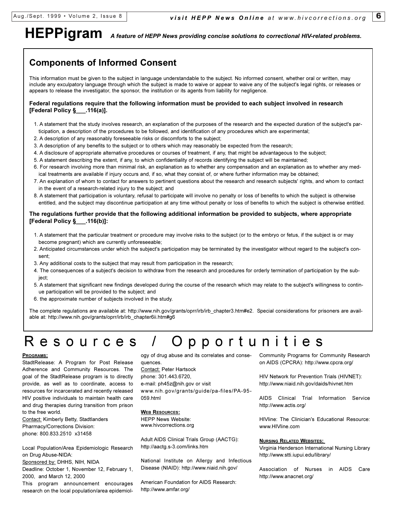# **HEPPigram** *A feature of HEPP News providing concise solutions to correctional HIV-related problems.*

## **Components of Informed Consent**

This information must be given to the subject in language understandable to the subject. No informed consent, whether oral or written, may include any exculpatory language through which the subject is made to waive or appear to waive any of the subject's legal rights, or releases or appears to release the investigator, the sponsor, the institution or its agents from liability for negligence.

#### **Federal regulations require that the following information must be provided to each subject involved in research [Federal Policy §\_\_\_.116(a)].**

- 1. A statement that the study involves research, an explanation of the purposes of the research and the expected duration of the subject's participation, a description of the procedures to be followed, and identification of any procedures which are experimental;
- 2. A description of any reasonably foreseeable risks or discomforts to the subject;
- 3. A description of any benefits to the subject or to others which may reasonably be expected from the research;
- 4. A disclosure of appropriate alternative procedures or courses of treatment, if any, that might be advantageous to the subject;
- 5. A statement describing the extent, if any, to which confidentiality of records identifying the subject will be maintained;
- 6. For research involving more than minimal risk, an explanation as to whether any compensation and an explanation as to whether any medical treatments are available if injury occurs and, if so, what they consist of, or where further information may be obtained;
- 7. An explanation of whom to contact for answers to pertinent questions about the research and research subjects' rights, and whom to contact in the event of a research-related injury to the subject; and
- 8. A statement that participation is voluntary, refusal to participate will involve no penalty or loss of benefits to which the subject is otherwise entitled, and the subject may discontinue participation at any time without penalty or loss of benefits to which the subject is otherwise entitled.

#### **The regulations further provide that the following additional information be provided to subjects, where appropriate [Federal Policy §\_\_\_.116(b)]:**

- 1. A statement that the particular treatment or procedure may involve risks to the subject (or to the embryo or fetus, if the subject is or may become pregnant) which are currently unforeseeable;
- 2. Anticipated circumstances under which the subject's participation may be terminated by the investigator without regard to the subject's consent;
- 3. Any additional costs to the subject that may result from participation in the research;
- 4. The consequences of a subject's decision to withdraw from the research and procedures for orderly termination of participation by the subject;
- 5. A statement that significant new findings developed during the course of the research which may relate to the subject's willingness to continue participation will be provided to the subject; and
- 6. the approximate number of subjects involved in the study.

The complete regulations are available at: http://www.nih.gov/grants/oprr/irb/irb\_chapter3.htm#e2. Special considerations for prisoners are available at: http://www.nih.gov/grants/oprr/irb/irb\_chapter6ii.htm#g6

## Resources / Opportunities

#### **PROGRAMS:**

StadtRelease: A Program for Post Release Adherence and Community Resources. The goal of the StadtRelease program is to directly provide, as well as to coordinate, access to resources for incarcerated and recently released HIV positive individuals to maintain health care and drug therapies during transition from prison to the free world.

Contact: Kimberly Betty, Stadtlanders Pharmacy/Corrections Division: phone: 800.833.2510 x31458

Local Population/Area Epidemiologic Research on Drug Abuse-NIDA:

Sponsored by: DHHS, NIH, NIDA

Deadline: October 1, November 12, February 1, 2000, and March 12, 2000

This program announcement encourages research on the local population/area epidemiol-

ogy of drug abuse and its correlates and consequences. Contact: Peter Hartsock phone: 301.443.6720, e-mail: ph45z@nih.gov or visit www.nih.gov/grants/guide/pa-files/PA-95- 059.html

#### **WEB RESOURCES:**

HEPP News Website: www.hivcorrections.org

Adult AIDS Clinical Trials Group (AACTG): http://aactg.s-3.com/links.htm

National Institute on Allergy and Infectious Disease (NIAID): http://www.niaid.nih.gov/

American Foundation for AIDS Research: http://www.amfar.org/

Community Programs for Community Research on AIDS (CPCRA): http://www.cpcra.org/

HIV Network for Prevention Trials (HIVNET): http://www.niaid.nih.gov/daids/hivnet.htm

AIDS Clinical Trial Information Service http://www.actis.org/

HIVline: The Clinician's Educational Resource: www.HIVline.com

#### **NURSING RELATED WEBSITES:**

Virginia Henderson International Nursing Library http://www.stti.iupui.edu/library/

Association of Nurses in AIDS Care http://www.anacnet.org/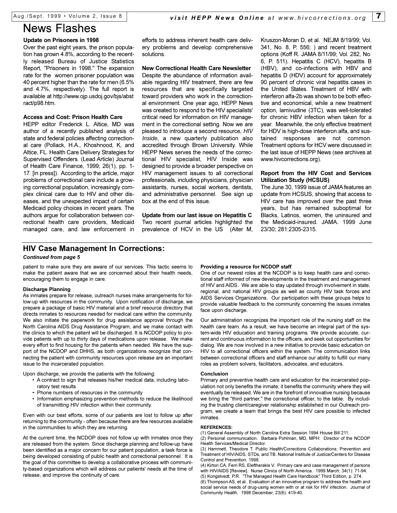## News Flashes

#### **Update on Prisoners in 1998**

Over the past eight years, the prison population has grown 4.8%, according to the recently released Bureau of Justice Statistics Report, "Prisoners in 1998." The expansion rate for the women prisoner population was 40 percent higher than the rate for men (6.5% and 4.7%, respectively). The full report is available at http://www.ojp.usdoj.gov/bjs/abst ract/p98.htm.

#### **Access and Cost: Prison Health Care**

HEPP editor Frederick L. Altice, MD was author of a recently published analysis of state and federal policies affecting correctional care (Pollack, H.A., Khoshnood, K, and Altice, FL. Health Care Delivery Strategies for Supervised Offenders. (Lead Article) Journal of Health Care Finance, 1999; 26(1), pp. 1- 17. [in press]). According to the article, major problems of correctional care include a growing correctional population, increasingly complex clinical care due to HIV and other diseases, and the unexpected impact of certain Medicaid policy choices in recent years. The authors argue for collaboration between correctional health care providers, Medicaid managed care, and law enforcement in **New Correctional Health Care Newsletter** Despite the abundance of information available regarding HIV treatment, there are few resources that are specifically targeted toward providers who work in the correctional environment. One year ago, HEPP News was created to respond to the HIV specialists' critical need for information on HIV management in the correctional setting. Now we are pleased to introduce a second resource, *HIV Inside*, a new quarterly publication also accredited through Brown University. While HEPP News serves the needs of the correctional HIV specialist, HIV Inside was designed to provide a broader perspective on HIV management issues to all correctional professionals, including physicians, physician assistants, nurses, social workers, dentists, and administrative personnel. See sign up box at the end of this issue.

**Update from our last issue on Hepatitis C** Two recent journal articles highlighted the prevalence of HCV in the US (Alter M, Kruszon-Moran D, et al. NEJM 8/19/99; Vol. 341, No. 8, P. 556; ) and recent treatment options (Koff R. JAMA 8/11/99; Vol. 282, No. 6, P. 511). Hepatitis C (HCV), hepatitis B (HBV), and co-infections with HBV and hepatitis D (HDV) account for approximately 90 percent of chronic viral hepatitis cases in the United States. Treatment of HBV with interferon alfa-2b was shown to be both effective and economical, while a new treatment option, lamivudine (3TC), was well-tolerated for chronic HBV infection when taken for a year. Meanwhile, the only effective treatment for HDV is high-dose interferon alfa, and sustained responses are not common. Treatment options for HCV were discussed in the last issue of HEPP News (see archives at www.hivcorrections.org).

#### **Report from the HIV Cost and Services Utilization Study (HCSUS)**

The June 30, 1999 issue of JAMA features an update from HCSUS, showing that access to HIV care has improved over the past three years, but has remained suboptimal for Blacks, Latinos, women, the uninsured and the Medicaid-insured. JAMA. 1999 June 23/30; 281:2305-2315.

### **HIV Case Management In Corrections:**

#### *Continued from page 5*

patient to make sure they are aware of our services. This tactic seems to make the patient aware that we are concerned about their health needs, encouraging them to engage in care.

#### **Discharge Planning**

As inmates prepare for release, outreach nurses make arrangements for follow-up with resources in the community. Upon notification of discharge, we prepare a package of basic HIV material and a brief resource directory that directs inmates to resources needed for medical care within the community. We also initiate the paperwork for drug assistance approval through the North Carolina AIDS Drug Assistance Program, and we make contact with the clinics to which the patient will be discharged. It is NCDOP policy to provide patients with up to thirty days of medications upon release. We make every effort to find housing for the patients when needed. We have the support of the NCDOP and DHHS, as both organizations recognize that connecting the patient with community resources upon release are an important issue to the incarcerated population.

Upon discharge, we provide the patients with the following:

- A contract to sign that releases his/her medical data, including laboratory test results
- · Phone numbers of resources in the community
- Information emphasizing prevention methods to reduce the likelihood of transmitting HIV infection within their community.

Even with our best efforts, some of our patients are lost to follow up after returning to the community - often because there are few resources available in the communities to which they are returning.

At the current time, the NCDOP does not follow up with inmates once they are released from the system. Since discharge planning and follow-up have been identified as a major concern for our patient population, a task force is being developed consisting of public health and correctional personnel. It is the goal of this committee to develop a collaborative process with community-based organizations which will address our patients' needs at the time of release, and improve the continuity of care.

#### **Providing a resource for NCDOP staff**

One of our newest roles at the NCDOP is to keep health care and correctional staff informed of new developments in the treatment and management of HIV and AIDS. We are able to stay updated through involvement in state, regional, and national HIV groups as well as county HIV task forces and AIDS Services Organizations. Our participation with these groups helps to provide valuable feedback to the community concerning the issues inmates face upon discharge.

Our administration recognizes the important role of the nursing staff on the health care team. As a result, we have become an integral part of the system-wide HIV education and training programs. We provide accurate, current and continuous information to the officers, and seek out opportunities for dialog. We are now involved in a new initiative to provide basic education on HIV to all correctional officers within the system. The communication links between correctional officers and staff enhance our ability to fulfill our many roles as problem solvers, facilitators, advocates, and educators.

#### **Conclusion**

Primary and preventive health care and education for the incarcerated population not only benefits the inmate; it benefits the community where they will eventually be released. We are in the forefront of innovative nursing because we bring the "third partner," the correctional officer, to the table. By including the trusting client/caregiver relationship established in our Outreach program, we create a team that brings the best HIV care possible to infected inmates.

#### **REFERENCES:**

(1) General Assembly of North Carolina Extra Session 1994 House Bill 211. (2) Personal communication. Barbara Pohlman, MD, MPH: Director of the NCDOP

Health Services/Medical Director. (3) Hammett, Theodore T. Public Health/Corrections Collaborations: Prevention and Treatment of HIV/AIDS, STDs, and TB. National Institute of Justice/Centers for Disease Control and Prevention. 1998.

(4) Kirton CA, Ferri RS, Eleftherakis V. Primary care and case management of persons with HIV/AIDS [Review]. Nurse Clinics of North America. 1999 March; 34(1): 71-94. (5) Kongstvedt, P.R. "The Managed Health Care Handbook" Third Edition, p. 274.

(6) Thompson AS, et al. Evaluation of an innovative program to address the health and social service needs of drug-using women with or at risk for HIV infection. Journal of Community Health. 1998 December; 23(6): 419-40.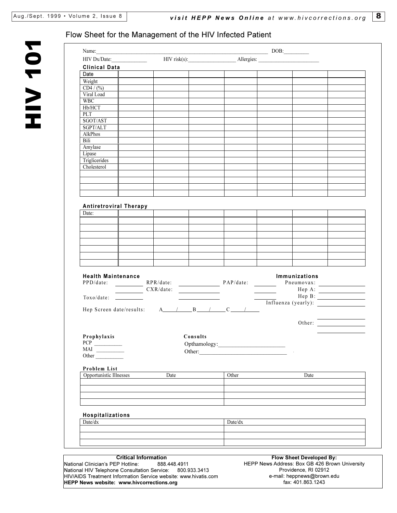HIV 101

NOL AIH

fax: 401.863.1243

### Flow Sheet for the Management of the HIV Infected Patient

**HEPP News website: www.hivcorrections.org**

| HIV Dx/Date:                      | Name: DOB: $DDB$ :                                                                                                                                                                  |          | HIV risk(s): Allergies:                                                                                                                                                                                                           |                                                |                                 |                             |
|-----------------------------------|-------------------------------------------------------------------------------------------------------------------------------------------------------------------------------------|----------|-----------------------------------------------------------------------------------------------------------------------------------------------------------------------------------------------------------------------------------|------------------------------------------------|---------------------------------|-----------------------------|
|                                   |                                                                                                                                                                                     |          |                                                                                                                                                                                                                                   |                                                |                                 |                             |
| <b>Clinical Data</b>              |                                                                                                                                                                                     |          |                                                                                                                                                                                                                                   |                                                |                                 |                             |
| Date                              |                                                                                                                                                                                     |          |                                                                                                                                                                                                                                   |                                                |                                 |                             |
| Weight                            |                                                                                                                                                                                     |          |                                                                                                                                                                                                                                   |                                                |                                 |                             |
| CD4 / (%)                         |                                                                                                                                                                                     |          |                                                                                                                                                                                                                                   |                                                |                                 |                             |
| Viral Load<br><b>WBC</b>          |                                                                                                                                                                                     |          |                                                                                                                                                                                                                                   |                                                |                                 |                             |
| Hb/HCT                            |                                                                                                                                                                                     |          |                                                                                                                                                                                                                                   |                                                |                                 |                             |
| PLT                               |                                                                                                                                                                                     |          |                                                                                                                                                                                                                                   |                                                |                                 |                             |
| SGOT/AST                          |                                                                                                                                                                                     |          |                                                                                                                                                                                                                                   |                                                |                                 |                             |
| SGPT/ALT                          |                                                                                                                                                                                     |          |                                                                                                                                                                                                                                   |                                                |                                 |                             |
| AlkPhos                           |                                                                                                                                                                                     |          |                                                                                                                                                                                                                                   |                                                |                                 |                             |
| Bili                              |                                                                                                                                                                                     |          |                                                                                                                                                                                                                                   |                                                |                                 |                             |
| Amylase                           |                                                                                                                                                                                     |          |                                                                                                                                                                                                                                   |                                                |                                 |                             |
| Lipase                            |                                                                                                                                                                                     |          |                                                                                                                                                                                                                                   |                                                |                                 |                             |
| Triglicerides                     |                                                                                                                                                                                     |          |                                                                                                                                                                                                                                   |                                                |                                 |                             |
| Cholesterol                       |                                                                                                                                                                                     |          |                                                                                                                                                                                                                                   |                                                |                                 |                             |
|                                   |                                                                                                                                                                                     |          |                                                                                                                                                                                                                                   |                                                |                                 |                             |
|                                   |                                                                                                                                                                                     |          |                                                                                                                                                                                                                                   |                                                |                                 |                             |
|                                   |                                                                                                                                                                                     |          |                                                                                                                                                                                                                                   |                                                |                                 |                             |
|                                   |                                                                                                                                                                                     |          |                                                                                                                                                                                                                                   |                                                |                                 |                             |
| <b>Antiretroviral Therapy</b>     |                                                                                                                                                                                     |          |                                                                                                                                                                                                                                   |                                                |                                 |                             |
| Date:                             |                                                                                                                                                                                     |          |                                                                                                                                                                                                                                   |                                                |                                 |                             |
|                                   |                                                                                                                                                                                     |          |                                                                                                                                                                                                                                   |                                                |                                 |                             |
|                                   |                                                                                                                                                                                     |          |                                                                                                                                                                                                                                   |                                                |                                 |                             |
|                                   |                                                                                                                                                                                     |          |                                                                                                                                                                                                                                   |                                                |                                 |                             |
|                                   |                                                                                                                                                                                     |          |                                                                                                                                                                                                                                   |                                                |                                 |                             |
|                                   |                                                                                                                                                                                     |          |                                                                                                                                                                                                                                   |                                                |                                 |                             |
|                                   |                                                                                                                                                                                     |          |                                                                                                                                                                                                                                   |                                                |                                 |                             |
|                                   |                                                                                                                                                                                     |          |                                                                                                                                                                                                                                   |                                                |                                 |                             |
|                                   |                                                                                                                                                                                     |          |                                                                                                                                                                                                                                   |                                                |                                 |                             |
| <b>Health Maintenance</b>         |                                                                                                                                                                                     |          |                                                                                                                                                                                                                                   |                                                | Immunizations                   |                             |
|                                   |                                                                                                                                                                                     |          |                                                                                                                                                                                                                                   |                                                | Pneumovax:                      |                             |
|                                   | $\begin{array}{ c c c c c }\hline \multicolumn{3}{c }{\text{CXR}/\text{date:}} \hline \multicolumn{3}{c }{\text{CXR}/\text{date:}} \hline \multicolumn{3}{c }{\text{}} \end{array}$ |          |                                                                                                                                                                                                                                   |                                                |                                 | $\text{Hep A:}\n$           |
|                                   |                                                                                                                                                                                     |          |                                                                                                                                                                                                                                   |                                                |                                 | $\text{Hep B:}\n\qquadp{1}$ |
|                                   |                                                                                                                                                                                     |          | The p D.<br>The second of the second state of the second state of the second state of the second state of the second state of the second state of the second state of the second state of the second state of the second state of |                                                |                                 |                             |
|                                   | Hep Screen date/results: $A \tI \tB \tI$                                                                                                                                            |          |                                                                                                                                                                                                                                   |                                                |                                 |                             |
|                                   |                                                                                                                                                                                     |          |                                                                                                                                                                                                                                   |                                                |                                 |                             |
|                                   |                                                                                                                                                                                     |          |                                                                                                                                                                                                                                   |                                                |                                 | Other:                      |
|                                   |                                                                                                                                                                                     |          |                                                                                                                                                                                                                                   |                                                |                                 |                             |
| Prophylaxis                       |                                                                                                                                                                                     | Consults |                                                                                                                                                                                                                                   |                                                |                                 |                             |
| <b>PCP</b>                        |                                                                                                                                                                                     |          |                                                                                                                                                                                                                                   |                                                |                                 |                             |
| MAI<br>Other                      |                                                                                                                                                                                     |          |                                                                                                                                                                                                                                   |                                                |                                 |                             |
|                                   |                                                                                                                                                                                     |          |                                                                                                                                                                                                                                   |                                                |                                 |                             |
| Problem List                      |                                                                                                                                                                                     |          |                                                                                                                                                                                                                                   |                                                |                                 |                             |
| Opportunistic Illnesses           | Date                                                                                                                                                                                |          | Other                                                                                                                                                                                                                             |                                                | Date                            |                             |
|                                   |                                                                                                                                                                                     |          |                                                                                                                                                                                                                                   |                                                |                                 |                             |
|                                   |                                                                                                                                                                                     |          |                                                                                                                                                                                                                                   |                                                |                                 |                             |
|                                   |                                                                                                                                                                                     |          |                                                                                                                                                                                                                                   |                                                |                                 |                             |
|                                   |                                                                                                                                                                                     |          |                                                                                                                                                                                                                                   |                                                |                                 |                             |
|                                   |                                                                                                                                                                                     |          |                                                                                                                                                                                                                                   |                                                |                                 |                             |
| Hospitalizations                  |                                                                                                                                                                                     |          |                                                                                                                                                                                                                                   |                                                |                                 |                             |
|                                   |                                                                                                                                                                                     |          | Date/dx                                                                                                                                                                                                                           |                                                |                                 |                             |
| Date/dx                           |                                                                                                                                                                                     |          |                                                                                                                                                                                                                                   |                                                |                                 |                             |
|                                   |                                                                                                                                                                                     |          |                                                                                                                                                                                                                                   |                                                |                                 |                             |
|                                   |                                                                                                                                                                                     |          |                                                                                                                                                                                                                                   |                                                |                                 |                             |
|                                   |                                                                                                                                                                                     |          |                                                                                                                                                                                                                                   |                                                |                                 |                             |
|                                   |                                                                                                                                                                                     |          |                                                                                                                                                                                                                                   |                                                |                                 |                             |
| National Clinician's PEP Hotline: | <b>Critical Information</b><br>888.448.4911                                                                                                                                         |          |                                                                                                                                                                                                                                   | HEPP News Address: Box GB 426 Brown University | <b>Flow Sheet Developed By:</b> |                             |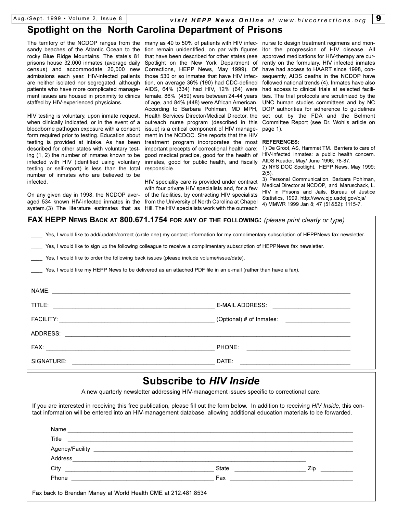Aug./Sept. 1999 Volume 2, Issue 8 *visit HEPP News Online at www.hivcorrections.org* 9

## **Spotlight on the North Carolina Department of Prisons**

rocky Blue Ridge Mountains. The state's 81 admissions each year. HIV-infected patients those 530 or so inmates that have HIV infecare neither isolated nor segregated, although patients who have more complicated management issues are housed in proximity to clinics staffed by HIV-experienced physicians.

HIV testing is voluntary, upon inmate request, when clinically indicated, or in the event of a bloodborne pathogen exposure with a consent form required prior to testing. Education about testing is provided at intake. As has been described for other states with voluntary testing (1, 2) the number of inmates known to be infected with HIV (identified using voluntary testing or self-report) is less than the total responsible. number of inmates who are believed to be infected.

On any given day in 1998, the NCDOP averaged 534 known HIV-infected inmates in the from the University of North Carolina at Chapel

The territory of the NCDOP ranges from the many as 40 to 50% of patients with HIV infec- nurse to design treatment regimens and monsandy beaches of the Atlantic Ocean to the tion remain unidentified, on par with figures itor the progression of HIV disease. All prisons house 32,000 inmates (average daily Spotlight on the New York Department of rently on the formulary. HIV infected inmates census) and accommodate 20,000 new Corrections, HEPP News, May 1999). Of have had-access-to-HAART-since-1998, conthat have been described for other states (see approved medications for HIV-therapy are curtion, on average 36% (190) had CDC-defined followed national trends (4). Inmates have also AIDS, 64% (334) had HIV, 12% (64) were had access to clinical trials at selected facilifemale, 86% (459) were between 24-44 years ties. The trial protocols are scrutinized by the of age, and 84% (448) were African American. UNC human studies committees and by NC According to Barbara Pohlman, MD MPH, Health Services Director/Medical Director, the outreach nurse program (described in this Committee Report (see Dr. Wohl's article on issue) is a critical component of HIV management in the NCDOC. She reports that the HIV treatment program incorporates the most **REFERENCES:** important precepts of correctional health care: good medical practice, good for the health of inmates, good for public health, and fiscally

system.(3) The literature estimates that as Hill. The HIV specialists work with the outreach HIV speciality care is provided under contract with four private HIV specialists and, for a few of the facilities, by contracting HIV specialists

sequently, AIDS deaths in the NCDOP have DOP authorities for adherence to guidelines set out by the FDA and the Belmont page 1).

1) De Groot, AS, Hammet TM. Barriers to care of HIV-infected inmates: a public health concern. AIDS Reader, May/ June 1996; 78-87.

2) NYS DOC Spotlight, HEPP News, May 1999; 2(5).

3) Personal Communication. Barbara Pohlman, Medical Director at NCDOP, and Maruschack, L. HIV in Prisons and Jails, Bureau of Justice Statistics, 1999. http://www.ojp.usdoj.gov/bjs/ 4) MMWR 1999 Jan 8; 47 (51&52): 1115-7.

| <b>FAX HEPP NEWS BACK AT 800.671.1754 FOR ANY OF THE FOLLOWING:</b> (please print clearly or type)                                        |  |  |  |  |  |
|-------------------------------------------------------------------------------------------------------------------------------------------|--|--|--|--|--|
| Yes, I would like to add/update/correct (circle one) my contact information for my complimentary subscription of HEPPNews fax newsletter. |  |  |  |  |  |
| Yes, I would like to sign up the following colleague to receive a complimentary subscription of HEPPNews fax newsletter.                  |  |  |  |  |  |
| Yes, I would like to order the following back issues (please include volume/issue/date).                                                  |  |  |  |  |  |
| Yes, I would like my HEPP News to be delivered as an attached PDF file in an e-mail (rather than have a fax).                             |  |  |  |  |  |
|                                                                                                                                           |  |  |  |  |  |
|                                                                                                                                           |  |  |  |  |  |
|                                                                                                                                           |  |  |  |  |  |
|                                                                                                                                           |  |  |  |  |  |
|                                                                                                                                           |  |  |  |  |  |
|                                                                                                                                           |  |  |  |  |  |
| SIGNATURE:                                                                                                                                |  |  |  |  |  |

## **Subscribe to** *HIV Inside*

A new quarterly newsletter addressing HIV-management issues specific to correctional care.

If you are interested in receiving this free publication, please fill out the form below. In addition to receiving *HIV Inside*, this contact information will be entered into an HIV-management database, allowing additional education materials to be forwarded.

| Title                                                  | <u> 1999 - Johann John Stone, mars and de format de la provincia de la provincia de la provincia de la provincia d</u> |     |
|--------------------------------------------------------|------------------------------------------------------------------------------------------------------------------------|-----|
|                                                        |                                                                                                                        |     |
|                                                        |                                                                                                                        |     |
|                                                        | State ____________________                                                                                             | Zip |
| Phone<br><u> 1989 - Andrea Andrew Maria (h. 1989).</u> |                                                                                                                        |     |